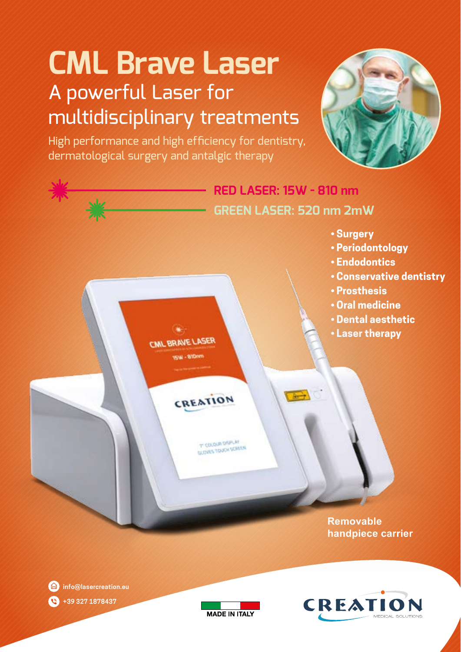# **CML Brave Laser** A powerful Laser for multidisciplinary treatments

High performance and high efficiency for dentistry, dermatological surgery and antalgic therapy







**info@lasercreation.eu +39 327 1878437**   $\mathbf{C}$